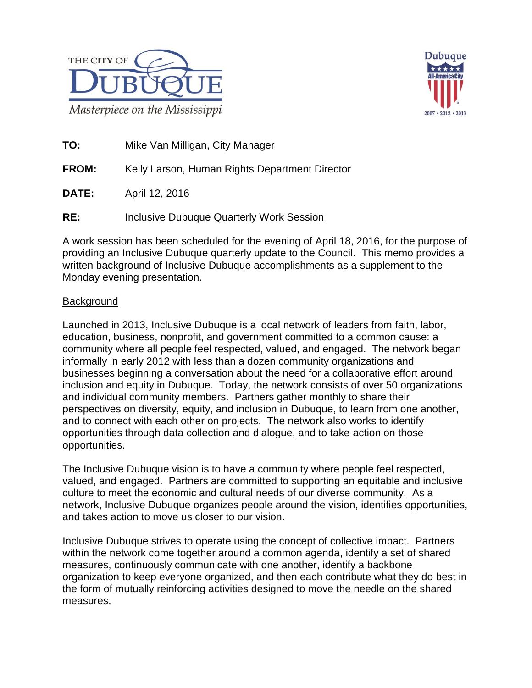



**TO:** Mike Van Milligan, City Manager

**FROM:** Kelly Larson, Human Rights Department Director

**DATE:** April 12, 2016

**RE:** Inclusive Dubuque Quarterly Work Session

A work session has been scheduled for the evening of April 18, 2016, for the purpose of providing an Inclusive Dubuque quarterly update to the Council. This memo provides a written background of Inclusive Dubuque accomplishments as a supplement to the Monday evening presentation.

# **Background**

Launched in 2013, Inclusive Dubuque is a local network of leaders from faith, labor, education, business, nonprofit, and government committed to a common cause: a community where all people feel respected, valued, and engaged. The network began informally in early 2012 with less than a dozen community organizations and businesses beginning a conversation about the need for a collaborative effort around inclusion and equity in Dubuque. Today, the network consists of over 50 organizations and individual community members. Partners gather monthly to share their perspectives on diversity, equity, and inclusion in Dubuque, to learn from one another, and to connect with each other on projects. The network also works to identify opportunities through data collection and dialogue, and to take action on those opportunities.

The Inclusive Dubuque vision is to have a community where people feel respected, valued, and engaged. Partners are committed to supporting an equitable and inclusive culture to meet the economic and cultural needs of our diverse community. As a network, Inclusive Dubuque organizes people around the vision, identifies opportunities, and takes action to move us closer to our vision.

Inclusive Dubuque strives to operate using the concept of collective impact. Partners within the network come together around a common agenda, identify a set of shared measures, continuously communicate with one another, identify a backbone organization to keep everyone organized, and then each contribute what they do best in the form of mutually reinforcing activities designed to move the needle on the shared measures.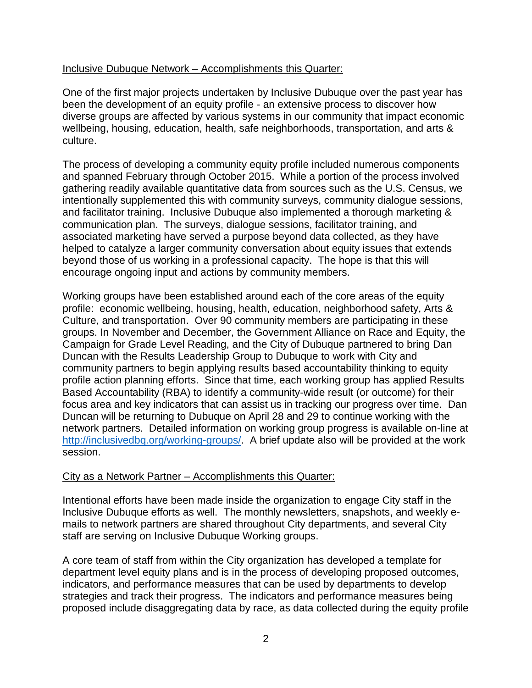## Inclusive Dubuque Network – Accomplishments this Quarter:

One of the first major projects undertaken by Inclusive Dubuque over the past year has been the development of an equity profile - an extensive process to discover how diverse groups are affected by various systems in our community that impact economic wellbeing, housing, education, health, safe neighborhoods, transportation, and arts & culture.

The process of developing a community equity profile included numerous components and spanned February through October 2015. While a portion of the process involved gathering readily available quantitative data from sources such as the U.S. Census, we intentionally supplemented this with community surveys, community dialogue sessions, and facilitator training. Inclusive Dubuque also implemented a thorough marketing & communication plan. The surveys, dialogue sessions, facilitator training, and associated marketing have served a purpose beyond data collected, as they have helped to catalyze a larger community conversation about equity issues that extends beyond those of us working in a professional capacity. The hope is that this will encourage ongoing input and actions by community members.

Working groups have been established around each of the core areas of the equity profile: economic wellbeing, housing, health, education, neighborhood safety, Arts & Culture, and transportation. Over 90 community members are participating in these groups. In November and December, the Government Alliance on Race and Equity, the Campaign for Grade Level Reading, and the City of Dubuque partnered to bring Dan Duncan with the Results Leadership Group to Dubuque to work with City and community partners to begin applying results based accountability thinking to equity profile action planning efforts. Since that time, each working group has applied Results Based Accountability (RBA) to identify a community-wide result (or outcome) for their focus area and key indicators that can assist us in tracking our progress over time. Dan Duncan will be returning to Dubuque on April 28 and 29 to continue working with the network partners. Detailed information on working group progress is available on-line at [http://inclusivedbq.org/working-groups/.](http://inclusivedbq.org/working-groups/) A brief update also will be provided at the work session.

## City as a Network Partner – Accomplishments this Quarter:

Intentional efforts have been made inside the organization to engage City staff in the Inclusive Dubuque efforts as well. The monthly newsletters, snapshots, and weekly emails to network partners are shared throughout City departments, and several City staff are serving on Inclusive Dubuque Working groups.

A core team of staff from within the City organization has developed a template for department level equity plans and is in the process of developing proposed outcomes, indicators, and performance measures that can be used by departments to develop strategies and track their progress. The indicators and performance measures being proposed include disaggregating data by race, as data collected during the equity profile